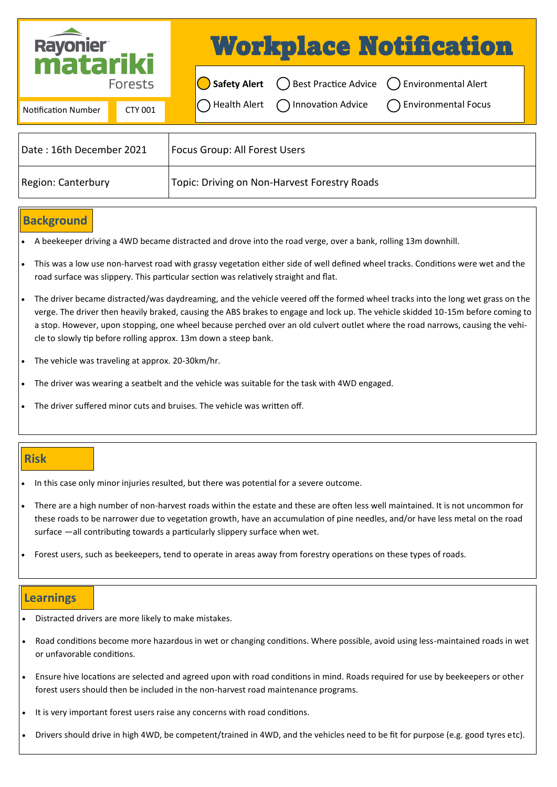| Rayonier<br><b>Matariki</b><br><b>Forests</b> |         | <b>Workplace Notification</b> |                               |                                                                                        |                                                                                     |  |
|-----------------------------------------------|---------|-------------------------------|-------------------------------|----------------------------------------------------------------------------------------|-------------------------------------------------------------------------------------|--|
|                                               |         |                               |                               | $\bigcirc$ Safety Alert $\bigcirc$ Best Practice Advice $\bigcirc$ Environmental Alert |                                                                                     |  |
| <b>Notification Number</b>                    | CTY 001 |                               |                               |                                                                                        | $\bigcirc$ Health Alert $\bigcirc$ Innovation Advice $\bigcirc$ Environmental Focus |  |
| Date: 16th December 2021                      |         |                               | Focus Group: All Forest Users |                                                                                        |                                                                                     |  |

## **Background**

- A beekeeper driving a 4WD became distracted and drove into the road verge, over a bank, rolling 13m downhill.
- This was a low use non-harvest road with grassy vegetation either side of well defined wheel tracks. Conditions were wet and the road surface was slippery. This particular section was relatively straight and flat.
- The driver became distracted/was daydreaming, and the vehicle veered off the formed wheel tracks into the long wet grass on the verge. The driver then heavily braked, causing the ABS brakes to engage and lock up. The vehicle skidded 10-15m before coming to a stop. However, upon stopping, one wheel because perched over an old culvert outlet where the road narrows, causing the vehicle to slowly tip before rolling approx. 13m down a steep bank.
- The vehicle was traveling at approx. 20-30km/hr.
- The driver was wearing a seatbelt and the vehicle was suitable for the task with 4WD engaged.

Region: Canterbury Topic: Driving on Non-Harvest Forestry Roads

• The driver suffered minor cuts and bruises. The vehicle was written off.

## **Risk**

- In this case only minor injuries resulted, but there was potential for a severe outcome.
- There are a high number of non-harvest roads within the estate and these are often less well maintained. It is not uncommon for these roads to be narrower due to vegetation growth, have an accumulation of pine needles, and/or have less metal on the road surface —all contributing towards a particularly slippery surface when wet.
- Forest users, such as beekeepers, tend to operate in areas away from forestry operations on these types of roads.

## **Learnings**

- Distracted drivers are more likely to make mistakes.
- Road conditions become more hazardous in wet or changing conditions. Where possible, avoid using less-maintained roads in wet or unfavorable conditions.
- Ensure hive locations are selected and agreed upon with road conditions in mind. Roads required for use by beekeepers or other forest users should then be included in the non-harvest road maintenance programs.
- It is very important forest users raise any concerns with road conditions.
- Drivers should drive in high 4WD, be competent/trained in 4WD, and the vehicles need to be fit for purpose (e.g. good tyres etc).